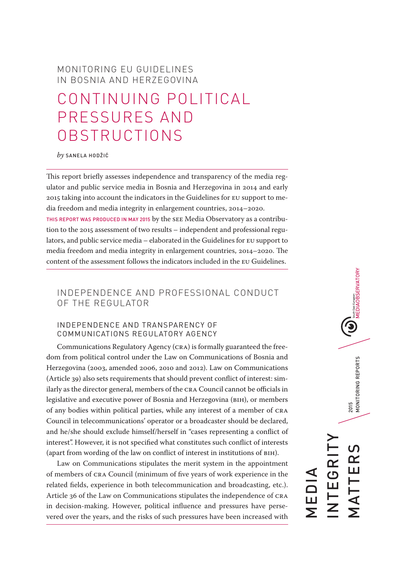# MONITORING EU GUIDELINES IN BOSNIA AND HERZEGOVINA

# CONTINUING POLITICAL PRESSURES AND OBSTRUCTIONS

#### *by* SANELA HODŽIĆ

This report briefly assesses independence and transparency of the media regulator and public service media in Bosnia and Herzegovina in 2014 and early 2015 taking into account the indicators in the Guidelines for EU support to media freedom and media integrity in enlargement countries, 2014–2020. THIS REPORT WAS PRODUCED IN MAY 2015 by the SEE Media Observatory as a contribution to the 2015 assessment of two results – independent and professional regulators, and public service media – elaborated in the Guidelines for EU support to media freedom and media integrity in enlargement countries, 2014–2020. The content of the assessment follows the indicators included in the EU Guidelines.

# INDEPENDENCE AND PROFESSIONAL CONDUCT OF THE REGULATOR

# INDEPENDENCE AND TRANSPARENCY OF COMMUNICATIONS REGULATORY AGENCY

Communications Regulatory Agency (CRA) is formally guaranteed the freedom from political control under the Law on Communications of Bosnia and Herzegovina (2003, amended 2006, 2010 and 2012). Law on Communications (Article 39) also sets requirements that should prevent conflict of interest: similarly as the director general, members of the CRA Council cannot be officials in legislative and executive power of Bosnia and Herzegovina (BiH), or members of any bodies within political parties, while any interest of a member of CRA Council in telecommunications' operator or a broadcaster should be declared, and he/she should exclude himself/herself in "cases representing a conflict of interest". However, it is not specified what constitutes such conflict of interests (apart from wording of the law on conflict of interest in institutions of BiH).

Law on Communications stipulates the merit system in the appointment of members of CRA Council (minimum of five years of work experience in the related fields, experience in both telecommunication and broadcasting, etc.). Article 36 of the Law on Communications stipulates the independence of CRA in decision-making. However, political influence and pressures have persevered over the years, and the risks of such pressures have been increased with

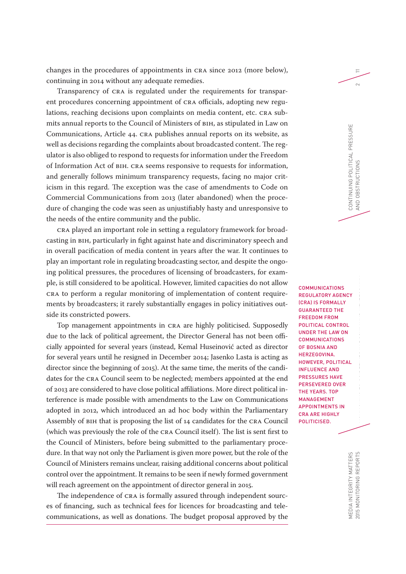changes in the procedures of appointments in CRA since 2012 (more below), continuing in 2014 without any adequate remedies.

Transparency of CRA is regulated under the requirements for transparent procedures concerning appointment of CRA officials, adopting new regulations, reaching decisions upon complaints on media content, etc. CRA submits annual reports to the Council of Ministers of BiH, as stipulated in Law on Communications, Article 44. CRA publishes annual reports on its website, as well as decisions regarding the complaints about broadcasted content. The regulator is also obliged to respond to requests for information under the Freedom of Information Act of BiH. CRA seems responsive to requests for information, and generally follows minimum transparency requests, facing no major criticism in this regard. The exception was the case of amendments to Code on Commercial Communications from 2013 (later abandoned) when the procedure of changing the code was seen as unjustifiably hasty and unresponsive to the needs of the entire community and the public.

CRA played an important role in setting a regulatory framework for broadcasting in BiH, particularly in fight against hate and discriminatory speech and in overall pacification of media content in years after the war. It continues to play an important role in regulating broadcasting sector, and despite the ongoing political pressures, the procedures of licensing of broadcasters, for example, is still considered to be apolitical. However, limited capacities do not allow CRA to perform a regular monitoring of implementation of content requirements by broadcasters; it rarely substantially engages in policy initiatives outside its constricted powers.

Top management appointments in CRA are highly politicised. Supposedly due to the lack of political agreement, the Director General has not been officially appointed for several years (instead, Kemal Huseinović acted as director for several years until he resigned in December 2014; Jasenko Lasta is acting as director since the beginning of 2015). At the same time, the merits of the candidates for the CRA Council seem to be neglected; members appointed at the end of 2013 are considered to have close political affiliations. More direct political interference is made possible with amendments to the Law on Communications adopted in 2012, which introduced an ad hoc body within the Parliamentary Assembly of BiH that is proposing the list of 14 candidates for the CRA Council (which was previously the role of the CRA Council itself). The list is sent first to the Council of Ministers, before being submitted to the parliamentary procedure. In that way not only the Parliament is given more power, but the role of the Council of Ministers remains unclear, raising additional concerns about political control over the appointment. It remains to be seen if newly formed government will reach agreement on the appointment of director general in 2015.

The independence of CRA is formally assured through independent sources of financing, such as technical fees for licences for broadcasting and telecommunications, as well as donations. The budget proposal approved by the REGULATORY AGENCY (CRA) IS FORMALLY GUARANTEED THE FREEDOM FROM POLITICAL CONTROL UNDER THE LAW ON COMMUNICATIONS OF BOSNIA AND HERZEGOVINA. HOWEVER, POLITICAL INFLUENCE AND PRESSURES HAVE PERSEVERED OVER THE YEARS. TOP MANAGEMENT APPOINTMENTS IN CRA ARE HIGHLY POLITICISED.

COMMUNICATIONS

CONTINUING POLITICAL PRESSURE

CONTINUING POLITICAL PRESSURE

AND OBSTRUCTIONS 2

AND OBSTRUCTIONS

11

 $\sim$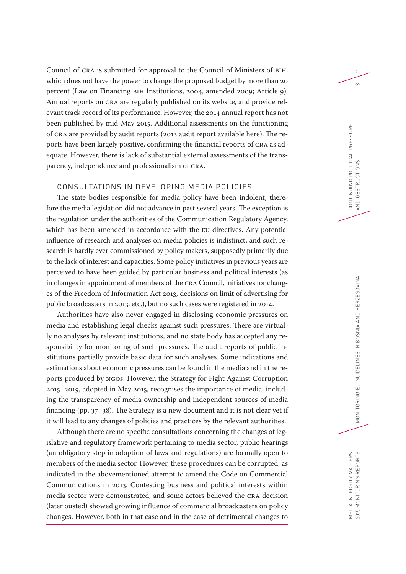Council of CRA is submitted for approval to the Council of Ministers of BiH, which does not have the power to change the proposed budget by more than 20 percent (Law on Financing BiH Institutions, 2004, amended 2009; Article 9). Annual reports on CRA are regularly published on its website, and provide relevant track record of its performance. However, the 2014 annual report has not been published by mid-May 2015. Additional assessments on the functioning of CRA are provided by audit reports (2013 audit report available here). The reports have been largely positive, confirming the financial reports of CRA as adequate. However, there is lack of substantial external assessments of the transparency, independence and professionalism of CRA.

# CONSULTATIONS IN DEVELOPING MEDIA POLICIES

The state bodies responsible for media policy have been indolent, therefore the media legislation did not advance in past several years. The exception is the regulation under the authorities of the Communication Regulatory Agency, which has been amended in accordance with the EU directives. Any potential influence of research and analyses on media policies is indistinct, and such research is hardly ever commissioned by policy makers, supposedly primarily due to the lack of interest and capacities. Some policy initiatives in previous years are perceived to have been guided by particular business and political interests (as in changes in appointment of members of the CRA Council, initiatives for changes of the Freedom of Information Act 2013, decisions on limit of advertising for public broadcasters in 2013, etc.), but no such cases were registered in 2014.

Authorities have also never engaged in disclosing economic pressures on media and establishing legal checks against such pressures. There are virtually no analyses by relevant institutions, and no state body has accepted any responsibility for monitoring of such pressures. The audit reports of public institutions partially provide basic data for such analyses. Some indications and estimations about economic pressures can be found in the media and in the reports produced by NGOs. However, the Strategy for Fight Against Corruption 2015–2019, adopted in May 2015, recognises the importance of media, including the transparency of media ownership and independent sources of media financing (pp. 37–38). The Strategy is a new document and it is not clear yet if it will lead to any changes of policies and practices by the relevant authorities.

Although there are no specific consultations concerning the changes of legislative and regulatory framework pertaining to media sector, public hearings (an obligatory step in adoption of laws and regulations) are formally open to members of the media sector. However, these procedures can be corrupted, as indicated in the abovementioned attempt to amend the Code on Commercial Communications in 2013. Contesting business and political interests within media sector were demonstrated, and some actors believed the CRA decision (later ousted) showed growing influence of commercial broadcasters on policy changes. However, both in that case and in the case of detrimental changes to

CONTINUING POLITICAL PRESSURE

11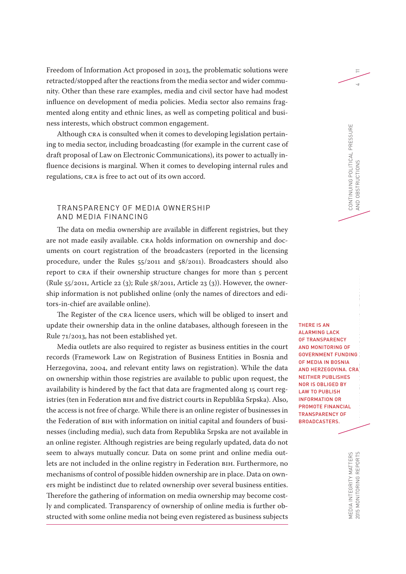Freedom of Information Act proposed in 2013, the problematic solutions were retracted/stopped after the reactions from the media sector and wider community. Other than these rare examples, media and civil sector have had modest influence on development of media policies. Media sector also remains fragmented along entity and ethnic lines, as well as competing political and business interests, which obstruct common engagement.

Although CRA is consulted when it comes to developing legislation pertaining to media sector, including broadcasting (for example in the current case of draft proposal of Law on Electronic Communications), its power to actually influence decisions is marginal. When it comes to developing internal rules and regulations, CRA is free to act out of its own accord.

## TRANSPARENCY OF MEDIA OWNERSHIP AND MEDIA FINANCING

The data on media ownership are available in different registries, but they are not made easily available. CRA holds information on ownership and documents on court registration of the broadcasters (reported in the licensing procedure, under the Rules 55/2011 and 58/2011). Broadcasters should also report to CRA if their ownership structure changes for more than 5 percent (Rule 55/2011, Article 22 (3); Rule 58/2011, Article 23 (3)). However, the ownership information is not published online (only the names of directors and editors-in-chief are available online).

The Register of the CRA licence users, which will be obliged to insert and update their ownership data in the online databases, although foreseen in the Rule 71/2013, has not been established yet.

Media outlets are also required to register as business entities in the court records (Framework Law on Registration of Business Entities in Bosnia and Herzegovina, 2004, and relevant entity laws on registration). While the data on ownership within those registries are available to public upon request, the availability is hindered by the fact that data are fragmented along 15 court registries (ten in Federation BiH and five district courts in Republika Srpska). Also, the access is not free of charge. While there is an online register of businesses in the Federation of BiH with information on initial capital and founders of businesses (including media), such data from Republika Srpska are not available in an online register. Although registries are being regularly updated, data do not seem to always mutually concur. Data on some print and online media outlets are not included in the online registry in Federation BiH. Furthermore, no mechanisms of control of possible hidden ownership are in place. Data on owners might be indistinct due to related ownership over several business entities. Therefore the gathering of information on media ownership may become costly and complicated. Transparency of ownership of online media is further obstructed with some online media not being even registered as business subjects

THERE IS AN ALARMING LACK OF TRANSPARENCY AND MONITORING OF GOVERNMENT FUNDING OF MEDIA IN BOSNIA AND HERZEGOVINA. CRA NEITHER PUBLISHES NOR IS OBLIGED BY LAW TO PUBLISH INFORMATION OR PROMOTE FINANCIAL TRANSPARENCY OF BROADCASTERS.

CONTINUING POLITICAL PRESSURE

CONTINUING POLITICAL PRESSURE<br>AND OBSTRUCTIONS

AND OBSTRUCTIONS 4

11

2015 MONITORING REPORTS IN  $\blacksquare$ MEDIA INTEGRITY MATTERS<br>2015 MONITORING REPORTS MEDIA INTEGRITY MATTERS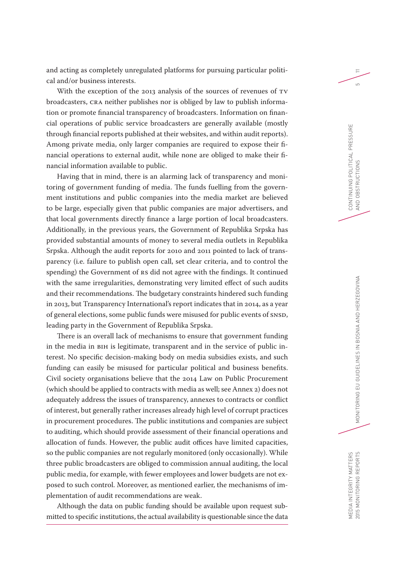and acting as completely unregulated platforms for pursuing particular political and/or business interests.

With the exception of the 2013 analysis of the sources of revenues of TV broadcasters, CRA neither publishes nor is obliged by law to publish information or promote financial transparency of broadcasters. Information on financial operations of public service broadcasters are generally available (mostly through financial reports published at their websites, and within audit reports). Among private media, only larger companies are required to expose their financial operations to external audit, while none are obliged to make their financial information available to public.

Having that in mind, there is an alarming lack of transparency and monitoring of government funding of media. The funds fuelling from the government institutions and public companies into the media market are believed to be large, especially given that public companies are major advertisers, and that local governments directly finance a large portion of local broadcasters. Additionally, in the previous years, the Government of Republika Srpska has provided substantial amounts of money to several media outlets in Republika Srpska. Although the audit reports for 2010 and 2011 pointed to lack of transparency (i.e. failure to publish open call, set clear criteria, and to control the spending) the Government of RS did not agree with the findings. It continued with the same irregularities, demonstrating very limited effect of such audits and their recommendations. The budgetary constraints hindered such funding in 2013, but Transparency International's report indicates that in 2014, as a year of general elections, some public funds were misused for public events of SNSD, leading party in the Government of Republika Srpska.

There is an overall lack of mechanisms to ensure that government funding in the media in BiH is legitimate, transparent and in the service of public interest. No specific decision-making body on media subsidies exists, and such funding can easily be misused for particular political and business benefits. Civil society organisations believe that the 2014 Law on Public Procurement (which should be applied to contracts with media as well; see Annex 2) does not adequately address the issues of transparency, annexes to contracts or conflict of interest, but generally rather increases already high level of corrupt practices in procurement procedures. The public institutions and companies are subject to auditing, which should provide assessment of their financial operations and allocation of funds. However, the public audit offices have limited capacities, so the public companies are not regularly monitored (only occasionally). While three public broadcasters are obliged to commission annual auditing, the local public media, for example, with fewer employees and lower budgets are not exposed to such control. Moreover, as mentioned earlier, the mechanisms of implementation of audit recommendations are weak.

Although the data on public funding should be available upon request submitted to specific institutions, the actual availability is questionable since the data CONTINUING POLITICAL PRESSURE

11

 $\overline{5}$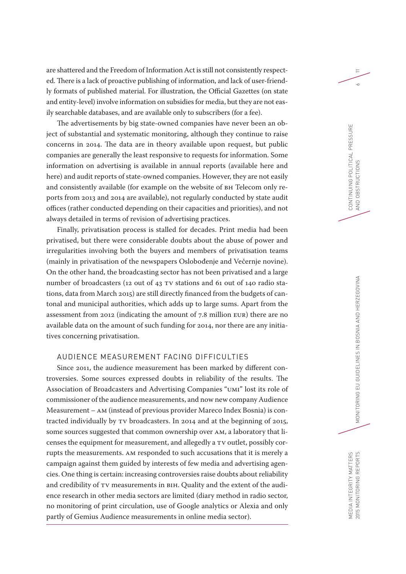are shattered and the Freedom of Information Act is still not consistently respected. There is a lack of proactive publishing of information, and lack of user-friendly formats of published material. For illustration, the Official Gazettes (on state and entity-level) involve information on subsidies for media, but they are not easily searchable databases, and are available only to subscribers (for a fee).

The advertisements by big state-owned companies have never been an object of substantial and systematic monitoring, although they continue to raise concerns in 2014. The data are in theory available upon request, but public companies are generally the least responsive to requests for information. Some information on advertising is available in annual reports (available here and here) and audit reports of state-owned companies. However, they are not easily and consistently available (for example on the website of BH Telecom only reports from 2013 and 2014 are available), not regularly conducted by state audit offices (rather conducted depending on their capacities and priorities), and not always detailed in terms of revision of advertising practices.

Finally, privatisation process is stalled for decades. Print media had been privatised, but there were considerable doubts about the abuse of power and irregularities involving both the buyers and members of privatisation teams (mainly in privatisation of the newspapers Oslobođenje and Večernje novine). On the other hand, the broadcasting sector has not been privatised and a large number of broadcasters (12 out of 43 TV stations and 61 out of 140 radio stations, data from March 2015) are still directly financed from the budgets of cantonal and municipal authorities, which adds up to large sums. Apart from the assessment from 2012 (indicating the amount of 7.8 million EUR) there are no available data on the amount of such funding for 2014, nor there are any initiatives concerning privatisation.

# AUDIENCE MEASUREMENT FACING DIFFICULTIES

Since 2011, the audience measurement has been marked by different controversies. Some sources expressed doubts in reliability of the results. The Association of Broadcasters and Advertising Companies "UMI" lost its role of commissioner of the audience measurements, and now new company Audience Measurement – AM (instead of previous provider Mareco Index Bosnia) is contracted individually by TV broadcasters. In 2014 and at the beginning of 2015, some sources suggested that common ownership over AM, a laboratory that licenses the equipment for measurement, and allegedly a TV outlet, possibly corrupts the measurements. AM responded to such accusations that it is merely a campaign against them guided by interests of few media and advertising agencies. One thing is certain: increasing controversies raise doubts about reliability and credibility of TV measurements in BiH. Quality and the extent of the audience research in other media sectors are limited (diary method in radio sector, no monitoring of print circulation, use of Google analytics or Alexia and only partly of Gemius Audience measurements in online media sector).

11

 $\sim$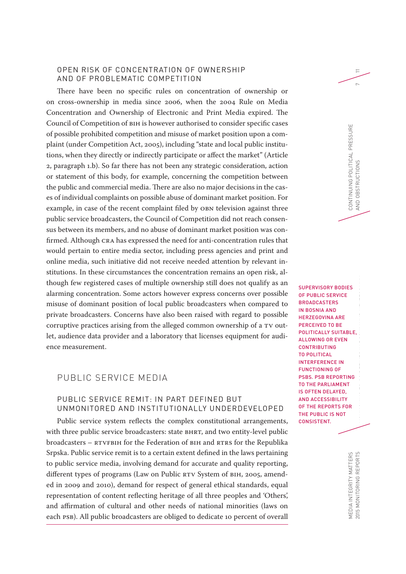#### OPEN RISK OF CONCENTRATION OF OWNERSHIP AND OF PROBLEMATIC COMPETITION

There have been no specific rules on concentration of ownership or on cross-ownership in media since 2006, when the 2004 Rule on Media Concentration and Ownership of Electronic and Print Media expired. The Council of Competition of BiH is however authorised to consider specific cases of possible prohibited competition and misuse of market position upon a complaint (under Competition Act, 2005), including "state and local public institutions, when they directly or indirectly participate or affect the market" (Article 2, paragraph 1.b). So far there has not been any strategic consideration, action or statement of this body, for example, concerning the competition between the public and commercial media. There are also no major decisions in the cases of individual complaints on possible abuse of dominant market position. For example, in case of the recent complaint filed by OBN television against three public service broadcasters, the Council of Competition did not reach consensus between its members, and no abuse of dominant market position was confirmed. Although CRA has expressed the need for anti-concentration rules that would pertain to entire media sector, including press agencies and print and online media, such initiative did not receive needed attention by relevant institutions. In these circumstances the concentration remains an open risk, although few registered cases of multiple ownership still does not qualify as an alarming concentration. Some actors however express concerns over possible misuse of dominant position of local public broadcasters when compared to private broadcasters. Concerns have also been raised with regard to possible corruptive practices arising from the alleged common ownership of a TV outlet, audience data provider and a laboratory that licenses equipment for audience measurement.

# PUBLIC SERVICE MEDIA

# PUBLIC SERVICE REMIT: IN PART DEFINED BUT UNMONITORED AND INSTITUTIONALLY UNDERDEVELOPED

Public service system reflects the complex constitutional arrangements, with three public service broadcasters: state BHRT, and two entity-level public broadcasters – RTVFBiH for the Federation of BiH and RTRS for the Republika Srpska. Public service remit is to a certain extent defined in the laws pertaining to public service media, involving demand for accurate and quality reporting, different types of programs (Law on Public RTV System of BiH, 2005, amended in 2009 and 2010), demand for respect of general ethical standards, equal representation of content reflecting heritage of all three peoples and 'Others', and affirmation of cultural and other needs of national minorities (laws on each PSB). All public broadcasters are obliged to dedicate 10 percent of overall

SUPERVISORY BODIES OF PUBLIC SERVICE BROADCASTERS IN BOSNIA AND HERZEGOVINA ARE PERCEIVED TO BE POLITICALLY SUITABLE, ALLOWING OR EVEN CONTRIBUTING TO POLITICAL INTERFERENCE IN FUNCTIONING OF PSBS. PSB REPORTING TO THE PARLIAMENT IS OFTEN DELAYED, AND ACCESSIBILITY OF THE REPORTS FOR THE PUBLIC IS NOT CONSISTENT.

CONTINUING POLITICAL PRESSURE

CONTINUING POLITICAL PRESSURE<br>AND OBSTRUCTIONS

AND OBSTRUCTIONS 7

11

2015 MONITORING REPORTS  $\blacksquare$ MEDIA INTEGRITY MATTERS<br>2015 MONITORING REPORTS MEDIA INTEGRITY MATTERS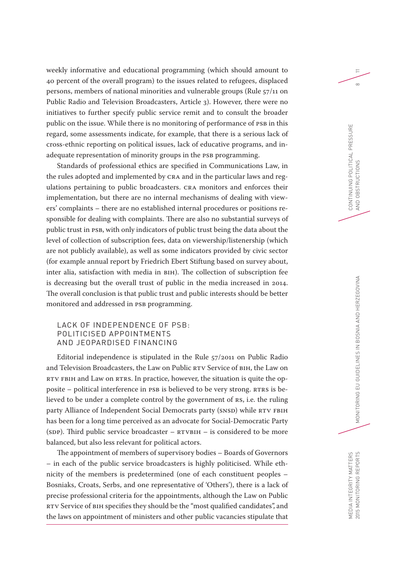weekly informative and educational programming (which should amount to 40 percent of the overall program) to the issues related to refugees, displaced persons, members of national minorities and vulnerable groups (Rule 57/11 on Public Radio and Television Broadcasters, Article 3). However, there were no initiatives to further specify public service remit and to consult the broader public on the issue. While there is no monitoring of performance of PSB in this regard, some assessments indicate, for example, that there is a serious lack of cross-ethnic reporting on political issues, lack of educative programs, and inadequate representation of minority groups in the PSB programming.

Standards of professional ethics are specified in Communications Law, in the rules adopted and implemented by CRA and in the particular laws and regulations pertaining to public broadcasters. CRA monitors and enforces their implementation, but there are no internal mechanisms of dealing with viewers' complaints – there are no established internal procedures or positions responsible for dealing with complaints. There are also no substantial surveys of public trust in PSB, with only indicators of public trust being the data about the level of collection of subscription fees, data on viewership/listenership (which are not publicly available), as well as some indicators provided by civic sector (for example annual report by Friedrich Ebert Stiftung based on survey about, inter alia, satisfaction with media in BiH). The collection of subscription fee is decreasing but the overall trust of public in the media increased in 2014. The overall conclusion is that public trust and public interests should be better monitored and addressed in PSB programming.

## LACK OF INDEPENDENCE OF PSB: POLITICISED APPOINTMENTS AND JEOPARDISED FINANCING

Editorial independence is stipulated in the Rule 57/2011 on Public Radio and Television Broadcasters, the Law on Public RTV Service of BiH, the Law on RTV FBiH and Law on RTRS. In practice, however, the situation is quite the opposite – political interference in PSB is believed to be very strong. RTRS is believed to be under a complete control by the government of RS, i.e. the ruling party Alliance of Independent Social Democrats party (SNSD) while RTV FBiH has been for a long time perceived as an advocate for Social-Democratic Party (SDP). Third public service broadcaster – RTVBiH – is considered to be more balanced, but also less relevant for political actors.

The appointment of members of supervisory bodies – Boards of Governors – in each of the public service broadcasters is highly politicised. While ethnicity of the members is predetermined (one of each constituent peoples – Bosniaks, Croats, Serbs, and one representative of 'Others'), there is a lack of precise professional criteria for the appointments, although the Law on Public RTV Service of BiH specifies they should be the "most qualified candidates", and the laws on appointment of ministers and other public vacancies stipulate that  $\equiv$ 

 $\infty$ 

MEDIA INTEGRITY MATTERS

MEDIA INTEGRITY MATTERS<br>2015 MONITORING REPORTS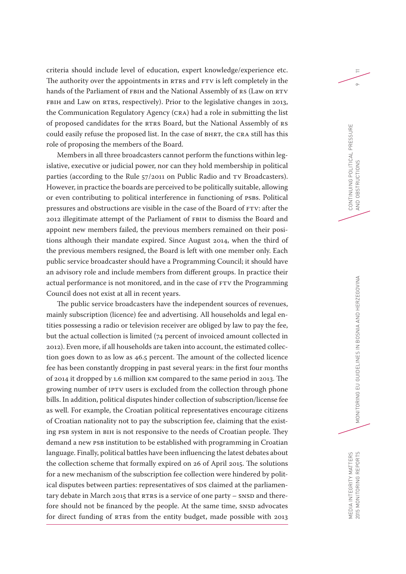criteria should include level of education, expert knowledge/experience etc. The authority over the appointments in RTRS and FTV is left completely in the hands of the Parliament of FBiH and the National Assembly of RS (Law on RTV FBIH and Law on RTRS, respectively). Prior to the legislative changes in 2013, the Communication Regulatory Agency (CRA) had a role in submitting the list of proposed candidates for the RTRS Board, but the National Assembly of RS could easily refuse the proposed list. In the case of BHRT, the CRA still has this role of proposing the members of the Board.

Members in all three broadcasters cannot perform the functions within legislative, executive or judicial power, nor can they hold membership in political parties (according to the Rule 57/2011 on Public Radio and TV Broadcasters). However, in practice the boards are perceived to be politically suitable, allowing or even contributing to political interference in functioning of PSBs. Political pressures and obstructions are visible in the case of the Board of FTV: after the 2012 illegitimate attempt of the Parliament of FBiH to dismiss the Board and appoint new members failed, the previous members remained on their positions although their mandate expired. Since August 2014, when the third of the previous members resigned, the Board is left with one member only. Each public service broadcaster should have a Programming Council; it should have an advisory role and include members from different groups. In practice their actual performance is not monitored, and in the case of FTV the Programming Council does not exist at all in recent years.

The public service broadcasters have the independent sources of revenues, mainly subscription (licence) fee and advertising. All households and legal entities possessing a radio or television receiver are obliged by law to pay the fee, but the actual collection is limited (74 percent of invoiced amount collected in 2012). Even more, if all households are taken into account, the estimated collection goes down to as low as 46.5 percent. The amount of the collected licence fee has been constantly dropping in past several years: in the first four months of 2014 it dropped by 1.6 million KM compared to the same period in 2013. The growing number of IPTV users is excluded from the collection through phone bills. In addition, political disputes hinder collection of subscription/license fee as well. For example, the Croatian political representatives encourage citizens of Croatian nationality not to pay the subscription fee, claiming that the existing PSB system in BiH is not responsive to the needs of Croatian people. They demand a new PSB institution to be established with programming in Croatian language. Finally, political battles have been influencing the latest debates about the collection scheme that formally expired on 26 of April 2015. The solutions for a new mechanism of the subscription fee collection were hindered by political disputes between parties: representatives of SDS claimed at the parliamentary debate in March 2015 that RTRS is a service of one party – SNSD and therefore should not be financed by the people. At the same time, SNSD advocates for direct funding of RTRS from the entity budget, made possible with 2013

11

 $\circ$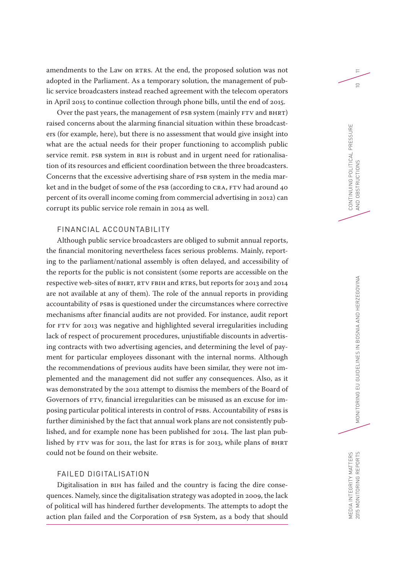amendments to the Law on RTRS. At the end, the proposed solution was not adopted in the Parliament. As a temporary solution, the management of public service broadcasters instead reached agreement with the telecom operators in April 2015 to continue collection through phone bills, until the end of 2015.

Over the past years, the management of PSB system (mainly FTV and BHRT) raised concerns about the alarming financial situation within these broadcasters (for example, here), but there is no assessment that would give insight into what are the actual needs for their proper functioning to accomplish public service remit. PSB system in BIH is robust and in urgent need for rationalisation of its resources and efficient coordination between the three broadcasters. Concerns that the excessive advertising share of PSB system in the media market and in the budget of some of the PSB (according to CRA, FTV had around 40 percent of its overall income coming from commercial advertising in 2012) can corrupt its public service role remain in 2014 as well.

# FINANCIAL ACCOUNTABILITY

Although public service broadcasters are obliged to submit annual reports, the financial monitoring nevertheless faces serious problems. Mainly, reporting to the parliament/national assembly is often delayed, and accessibility of the reports for the public is not consistent (some reports are accessible on the respective web-sites of BHRT, RTV FBiH and RTRS, but reports for 2013 and 2014 are not available at any of them). The role of the annual reports in providing accountability of PSBs is questioned under the circumstances where corrective mechanisms after financial audits are not provided. For instance, audit report for FTV for 2013 was negative and highlighted several irregularities including lack of respect of procurement procedures, unjustifiable discounts in advertising contracts with two advertising agencies, and determining the level of payment for particular employees dissonant with the internal norms. Although the recommendations of previous audits have been similar, they were not implemented and the management did not suffer any consequences. Also, as it was demonstrated by the 2012 attempt to dismiss the members of the Board of Governors of FTV, financial irregularities can be misused as an excuse for imposing particular political interests in control of PSBs. Accountability of PSBs is further diminished by the fact that annual work plans are not consistently published, and for example none has been published for 2014. The last plan published by FTV was for 2011, the last for RTRS is for 2013, while plans of BHRT could not be found on their website.

# FAILED DIGITALISATION

Digitalisation in BiH has failed and the country is facing the dire consequences. Namely, since the digitalisation strategy was adopted in 2009, the lack of political will has hindered further developments. The attempts to adopt the action plan failed and the Corporation of PSB System, as a body that should

 $\equiv$ 

 $\supseteq$